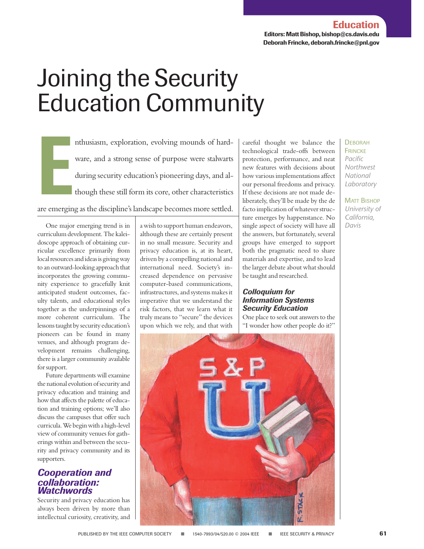# Joining the Security Education Community

**E** nthusiasm, exploration, evolving mounds of hardware, and a strong sense of purpose were stalwarts during security education's pioneering days, and although these still form its core, other characteristics are emerging as the discipline's landscape becomes more settled.

One major emerging trend is in curriculum development. The kaleidoscope approach of obtaining curricular excellence primarily from local resources and ideas is giving way to an outward-looking approach that incorporates the growing community experience to gracefully knit anticipated student outcomes, faculty talents, and educational styles together as the underpinnings of a more coherent curriculum. The lessons taught by security education's pioneers can be found in many venues, and although program development remains challenging, there is a larger community available for support.

Future departments will examine the national evolution of security and privacy education and training and how that affects the palette of education and training options; we'll also discuss the campuses that offer such curricula. We begin with a high-level view of community venues for gatherings within and between the security and privacy community and its supporters.

### *Cooperation and collaboration: Watchwords*

Security and privacy education has always been driven by more than intellectual curiosity, creativity, and a wish to support human endeavors, although these are certainly present in no small measure. Security and privacy education is, at its heart, driven by a compelling national and international need. Society's increased dependence on pervasive computer-based communications, infrastructures, and systems makes it imperative that we understand the risk factors, that we learn what it truly means to "secure" the devices upon which we rely, and that with

careful thought we balance the technological trade-offs between protection, performance, and neat new features with decisions about how various implementations affect our personal freedoms and privacy. If these decisions are not made deliberately, they'll be made by the de facto implication of whatever structure emerges by happenstance. No single aspect of society will have all the answers, but fortunately, several groups have emerged to support both the pragmatic need to share materials and expertise, and to lead the larger debate about what should be taught and researched.

### *Colloquium for Information Systems Security Education*

One place to seek out answers to the "I wonder how other people do it?"



### **DEBORAH FRINCKE** *Pacific*

*Northwest National Laboratory*

MATT BISHOP *University of California,*

*Davis*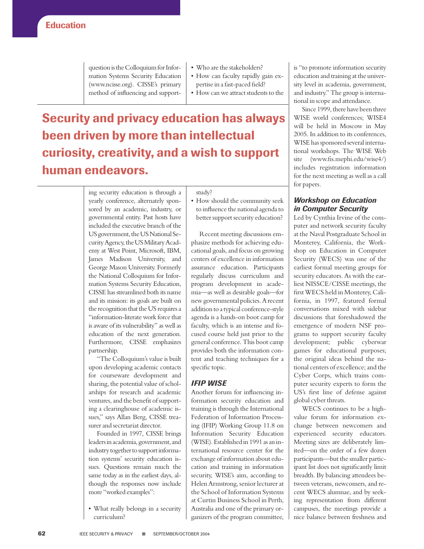question is the Colloquium for Information Systems Security Education (www.ncisse.org). CISSE's primary method of influencing and support-

- Who are the stakeholders?
- How can faculty rapidly gain expertise in a fast-paced field?
- How can we attract students to the

## **Security and privacy education has always been driven by more than intellectual curiosity, creativity, and a wish to support human endeavors.**

ing security education is through a yearly conference, alternately sponsored by an academic, industry, or governmental entity. Past hosts have included the executive branch of the US government, the US National Security Agency, the US Military Academy at West Point, Microsoft, IBM, James Madison University, and George Mason University. Formerly the National Colloquium for Information Systems Security Education, CISSE has streamlined both its name and its mission: its goals are built on the recognition that the US requires a "information-literate work force that is aware of its vulnerability" as well as education of the next generation. Furthermore, CISSE emphasizes partnership.

"The Colloquium's value is built upon developing academic contacts for courseware development and sharing, the potential value of scholarships for research and academic ventures, and the benefit of supporting a clearinghouse of academic issues," says Allan Berg, CISSE treasurer and secretariat director.

Founded in 1997, CISSE brings leaders in academia, government, and industry together to support information systems' security education issues. Questions remain much the same today as in the earliest days, although the responses now include more "worked examples":

• What really belongs in a security curriculum?

study?

• How should the community seek to influence the national agenda to better support security education?

Recent meeting discussions emphasize methods for achieving educational goals, and focus on growing centers of excellence in information assurance education. Participants regularly discuss curriculum and program development in academia—as well as desirable goals—for new governmental policies. A recent addition to a typical conference-style agenda is a hands-on boot camp for faculty, which is an intense and focused course held just prior to the general conference. This boot camp provides both the information content and teaching techniques for a specific topic.

### *IFIP WISE*

Another forum for influencing information security education and training is through the International Federation of Information Processing (IFIP) Working Group 11.8 on Information Security Education (WISE). Established in 1991 as an international resource center for the exchange of information about education and training in information security, WISE's aim, according to Helen Armstrong, senior lecturer at the School of Information Systems at Curtin Business School in Perth, Australia and one of the primary organizers of the program committee, is "to promote information security education and training at the university level in academia, government, and industry." The group is international in scope and attendance.

Since 1999, there have been three WISE world conferences; WISE4 will be held in Moscow in May 2005. In addition to its conferences, WISE has sponsored several international workshops. The WISE Web site (www.fis.mephi.edu/wise4/) includes registration information for the next meeting as well as a call for papers.

### *Workshop on Education in Computer Security*

Led by Cynthia Irvine of the computer and network security faculty at the Naval Postgraduate School in Monterey, California, the Workshop on Education in Computer Security (WECS) was one of the earliest formal meeting groups for security educators. As with the earliest NISSCE/CISSE meetings, the first WECS held in Monterey, California, in 1997, featured formal conversations mixed with sidebar discussions that foreshadowed the emergence of modern NSF programs to support security faculty development; public cyberwar games for educational purposes; the original ideas behind the national centers of excellence; and the Cyber Corps, which trains computer security experts to form the US's first line of defense against global cyber threats.

WECS continues to be a highvalue forum for information exchange between newcomers and experienced security educators. Meeting sizes are deliberately limited—on the order of a few dozen participants—but the smaller participant list does not significantly limit breadth. By balancing attendees between veterans, newcomers, and recent WECS alumnae, and by seeking representation from different campuses, the meetings provide a nice balance between freshness and